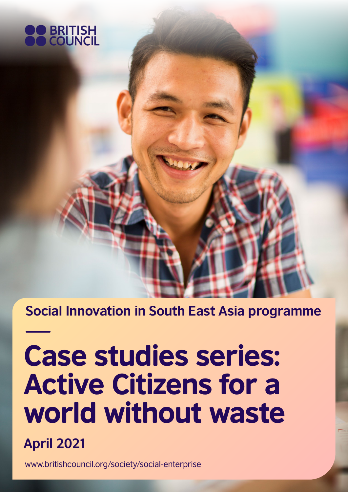

**Social Innovation in South East Asia programme**

# Case studies series: Active Citizens for a world without waste

**April 2021**

<www.britishcouncil.org/society/social-enterprise>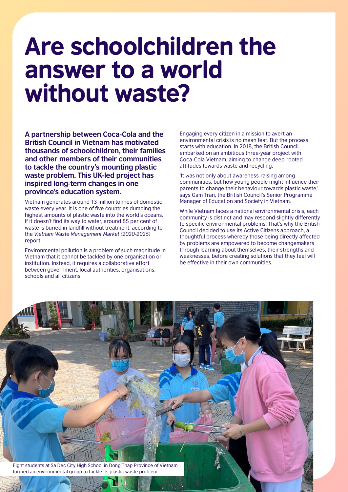## Are schoolchildren the answer to a world without waste?

**A partnership between Coca-Cola and the British Council in Vietnam has motivated thousands of schoolchildren, their families and other members of their communities to tackle the country's mounting plastic waste problem. This UK-led project has inspired long-term changes in one province's education system.** 

Vietnam generates around 13 million tonnes of domestic waste every year. It is one of five countries dumping the highest amounts of plastic waste into the world's oceans. If it doesn't find its way to water, around 85 per cent of waste is buried in landfill without treatment, according to the *[Vietnam Waste Management Market \(2020-2025\)](https://www.reportlinker.com/p05948963/Vietnam-Waste-Management-Market.html?utm_source=GNW)* report.

Environmental pollution is a problem of such magnitude in Vietnam that it cannot be tackled by one organisation or institution. Instead, it requires a collaborative effort between government, local authorities, organisations, schools and all citizens.

Engaging every citizen in a mission to avert an environmental crisis is no mean feat. But the process starts with education. In 2018, the British Council embarked on an ambitious three-year project with Coca-Cola Vietnam, aiming to change deep-rooted attitudes towards waste and recycling.

'It was not only about awareness-raising among communities, but how young people might influence their parents to change their behaviour towards plastic waste,' says Gam Tran, the British Council's Senior Programme Manager of Education and Society in Vietnam.

While Vietnam faces a national environmental crisis, each community is distinct and may respond slightly differently to specific environmental problems. That's why the British Council decided to use its Active Citizens approach, a thoughtful process whereby those being directly affected by problems are empowered to become changemakers through learning about themselves, their strengths and weaknesses, before creating solutions that they feel will be effective in their own communities.